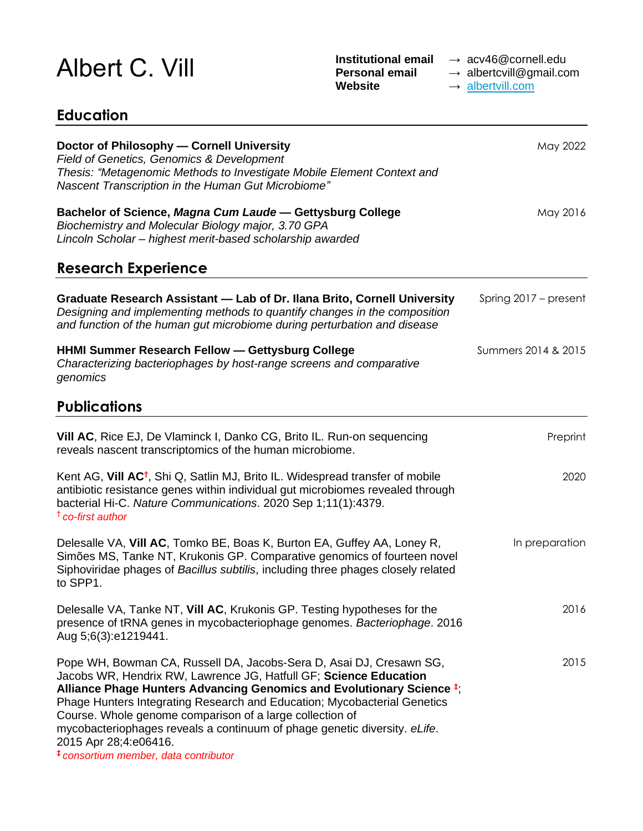## Albert C. Vill **Institutional email** → acv46@cornell.edu<br> **Personal email** → albertcvill@gmail.com<br>
Website → albertvill.com

→ albertcvill@gmail.com → [albertvill.com](https://albertvill.com/about/)

May 2022

May 2016

## **Education Doctor of Philosophy — Cornell University** *Field of Genetics, Genomics & Development Thesis: "Metagenomic Methods to Investigate Mobile Element Context and Nascent Transcription in the Human Gut Microbiome"* **Bachelor of Science,** *Magna Cum Laude* **— Gettysburg College** *Biochemistry and Molecular Biology major, 3.70 GPA Lincoln Scholar – highest merit-based scholarship awarded* **Research Experience**

| <b>Research Experience</b>                                                                                                                                                                                                                                                                                                                                                                                                             |                       |
|----------------------------------------------------------------------------------------------------------------------------------------------------------------------------------------------------------------------------------------------------------------------------------------------------------------------------------------------------------------------------------------------------------------------------------------|-----------------------|
| Graduate Research Assistant - Lab of Dr. Ilana Brito, Cornell University<br>Designing and implementing methods to quantify changes in the composition<br>and function of the human gut microbiome during perturbation and disease                                                                                                                                                                                                      | Spring 2017 – present |
| <b>HHMI Summer Research Fellow - Gettysburg College</b><br>Characterizing bacteriophages by host-range screens and comparative<br>genomics                                                                                                                                                                                                                                                                                             | Summers 2014 & 2015   |
| <b>Publications</b>                                                                                                                                                                                                                                                                                                                                                                                                                    |                       |
| Vill AC, Rice EJ, De Vlaminck I, Danko CG, Brito IL. Run-on sequencing<br>reveals nascent transcriptomics of the human microbiome.                                                                                                                                                                                                                                                                                                     | Preprint              |
| Kent AG, Vill AC <sup>†</sup> , Shi Q, Satlin MJ, Brito IL. Widespread transfer of mobile<br>antibiotic resistance genes within individual gut microbiomes revealed through<br>bacterial Hi-C. Nature Communications. 2020 Sep 1;11(1):4379.<br><sup>†</sup> co-first author                                                                                                                                                           | 2020                  |
| Delesalle VA, Vill AC, Tomko BE, Boas K, Burton EA, Guffey AA, Loney R,<br>Simões MS, Tanke NT, Krukonis GP. Comparative genomics of fourteen novel<br>Siphoviridae phages of Bacillus subtilis, including three phages closely related<br>to SPP1.                                                                                                                                                                                    | In preparation        |
| Delesalle VA, Tanke NT, Vill AC, Krukonis GP. Testing hypotheses for the<br>presence of tRNA genes in mycobacteriophage genomes. Bacteriophage. 2016<br>Aug 5;6(3):e1219441.                                                                                                                                                                                                                                                           | 2016                  |
| Pope WH, Bowman CA, Russell DA, Jacobs-Sera D, Asai DJ, Cresawn SG,<br>Jacobs WR, Hendrix RW, Lawrence JG, Hatfull GF; Science Education<br>Alliance Phage Hunters Advancing Genomics and Evolutionary Science #;<br>Phage Hunters Integrating Research and Education; Mycobacterial Genetics<br>Course. Whole genome comparison of a large collection of<br>mycobacteriophages reveals a continuum of phage genetic diversity. eLife. | 2015                  |

2015 Apr 28;4:e06416. **‡** *consortium member, data contributor*